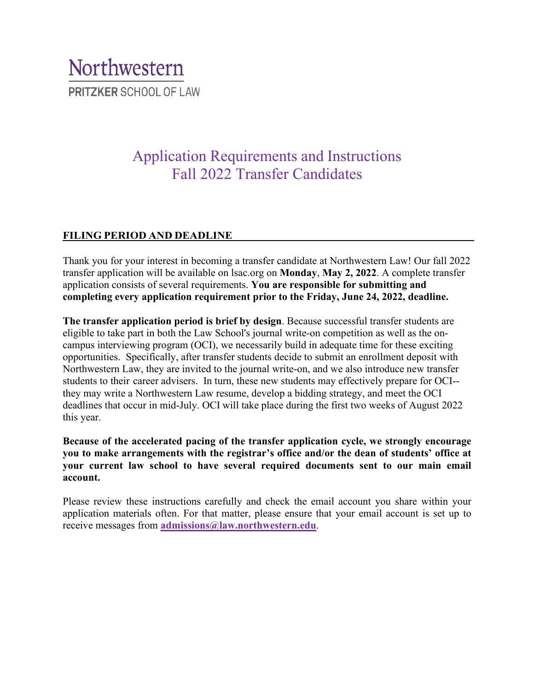# Northwestern **PRITZKER SCHOOL OF LAW**

# Application Requirements and Instructions Fall 2022 Transfer Candidates

# **FILING PERIOD AND DEADLINE**

Thank you for your interest in becoming a transfer candidate at Northwestern Law! Our fall 2022 transfer application will be available on lsac.org on **Monday**, **May 2, 2022**. A complete transfer application consists of several requirements. **You are responsible for submitting and completing every application requirement prior to the Friday, June 24, 2022, deadline.**

**The transfer application period is brief by design**. Because successful transfer students are eligible to take part in both the Law School's journal write-on competition as well as the oncampus interviewing program (OCI), we necessarily build in adequate time for these exciting opportunities. Specifically, after transfer students decide to submit an enrollment deposit with Northwestern Law, they are invited to the journal write-on, and we also introduce new transfer students to their career advisers. In turn, these new students may effectively prepare for OCI- they may write a Northwestern Law resume, develop a bidding strategy, and meet the OCI deadlines that occur in mid-July. OCI will take place during the first two weeks of August 2022 this year.

**Because of the accelerated pacing of the transfer application cycle, we strongly encourage you to make arrangements with the registrar's office and/or the dean of students' office at your current law school to have several required documents sent to our main email account.** 

Please review these instructions carefully and check the email account you share within your application materials often. For that matter, please ensure that your email account is set up to receive messages from **[admissions@law.northwestern.edu](mailto:admissions@law.northwestern.edu)**.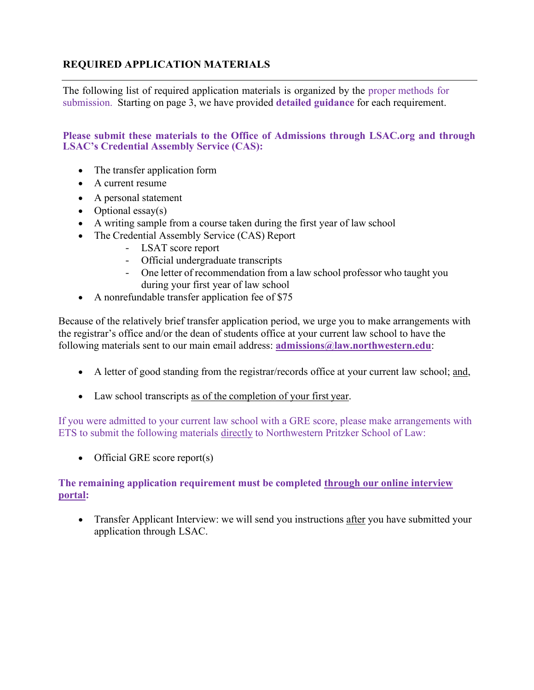# **REQUIRED APPLICATION MATERIALS**

The following list of required application materials is organized by the proper methods for submission. Starting on page 3, we have provided **detailed guidance** for each requirement.

**Please submit these materials to the Office of Admissions through LSAC.org and through LSAC's Credential Assembly Service (CAS):**

- The transfer application form
- A current resume
- A personal statement
- Optional essay(s)
- A writing sample from a course taken during the first year of law school
- The Credential Assembly Service (CAS) Report
	- LSAT score report
	- Official undergraduate transcripts
	- One letter of recommendation from a law school professor who taught you during your first year of law school
- A nonrefundable transfer application fee of \$75

Because of the relatively brief transfer application period, we urge you to make arrangements with the registrar's office and/or the dean of students office at your current law school to have the following materials sent to our main email address: **[admissions@law.northwestern.edu](mailto:admissions@law.northwestern.edu)**:

- A letter of good standing from the registrar/records office at your current law school; and,
- Law school transcripts as of the completion of your first year.

If you were admitted to your current law school with a GRE score, please make arrangements with ETS to submit the following materials directly to Northwestern Pritzker School of Law:

• Official GRE score report(s)

# **The remaining application requirement must be completed through our online interview portal:**

• Transfer Applicant Interview: we will send you instructions after you have submitted your application through LSAC.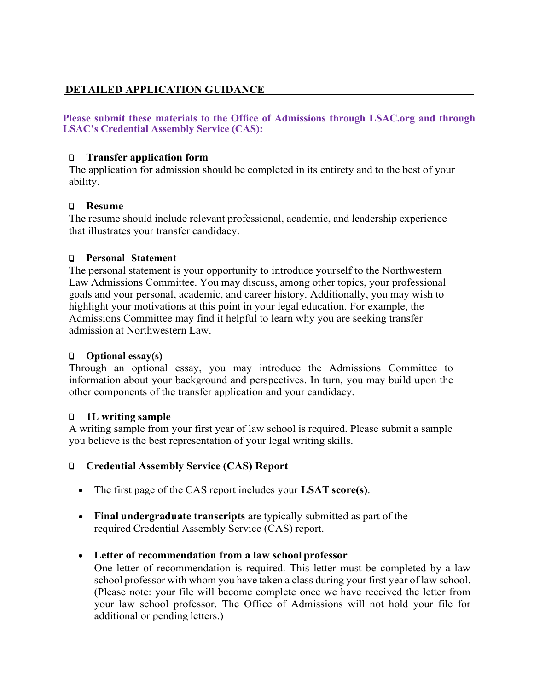# **DETAILED APPLICATION GUIDANCE**

**Please submit these materials to the Office of Admissions through LSAC.org and through LSAC's Credential Assembly Service (CAS):**

## ❑ **Transfer application form**

The application for admission should be completed in its entirety and to the best of your ability.

#### ❑ **Resume**

The resume should include relevant professional, academic, and leadership experience that illustrates your transfer candidacy.

# ❑ **Personal Statement**

The personal statement is your opportunity to introduce yourself to the Northwestern Law Admissions Committee. You may discuss, among other topics, your professional goals and your personal, academic, and career history. Additionally, you may wish to highlight your motivations at this point in your legal education. For example, the Admissions Committee may find it helpful to learn why you are seeking transfer admission at Northwestern Law.

# ❑ **Optional essay(s)**

Through an optional essay, you may introduce the Admissions Committee to information about your background and perspectives. In turn, you may build upon the other components of the transfer application and your candidacy.

#### ❑ **1L writing sample**

A writing sample from your first year of law school is required. Please submit a sample you believe is the best representation of your legal writing skills.

# ❑ **Credential Assembly Service (CAS) Report**

- The first page of the CAS report includes your **LSAT score(s)**.
- **Final undergraduate transcripts** are typically submitted as part of the required Credential Assembly Service (CAS) report.

#### • **Letter of recommendation from a law school professor**

One letter of recommendation is required. This letter must be completed by a law school professor with whom you have taken a class during your first year of law school. (Please note: your file will become complete once we have received the letter from your law school professor. The Office of Admissions will not hold your file for additional or pending letters.)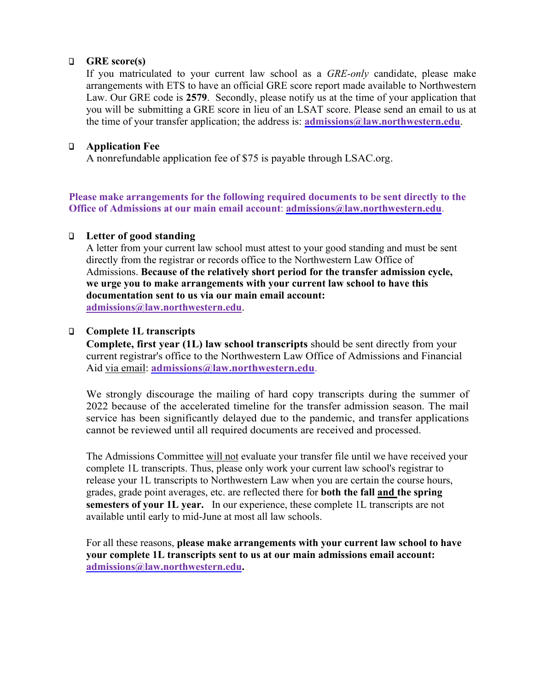#### ❑ **GRE score(s)**

If you matriculated to your current law school as a *GRE-only* candidate, please make arrangements with ETS to have an official GRE score report made available to Northwestern Law. Our GRE code is **2579**. Secondly, please notify us at the time of your application that you will be submitting a GRE score in lieu of an LSAT score. Please send an email to us at the time of your transfer application; the address is: **[admissions@law.northwestern.edu](mailto:admissions@law.northwestern.edu)**.

## ❑ **Application Fee**

A nonrefundable application fee of \$75 is payable through LSAC.org.

**Please make arrangements for the following required documents to be sent directly to the Office of Admissions at our main email account**: **[admissions@law.northwestern.edu](mailto:admissions@law.northwestern.edu)**.

#### ❑ **Letter of good standing**

A letter from your current law school must attest to your good standing and must be sent directly from the registrar or records office to the Northwestern Law Office of Admissions. **Because of the relatively short period for the transfer admission cycle, we urge you to make arrangements with your current law school to have this documentation sent to us via our main email account: [admissions@law.northwestern.edu](mailto:admissions@law.northwestern.edu)**.

#### ❑ **Complete 1L transcripts**

**Complete, first year (1L) law school transcripts** should be sent directly from your current registrar's office to the Northwestern Law Office of Admissions and Financial Aid via email: **[admissions@law.northwestern.edu](mailto:admissions@law.northwestern.edu)**.

We strongly discourage the mailing of hard copy transcripts during the summer of 2022 because of the accelerated timeline for the transfer admission season. The mail service has been significantly delayed due to the pandemic, and transfer applications cannot be reviewed until all required documents are received and processed.

The Admissions Committee will not evaluate your transfer file until we have received your complete 1L transcripts. Thus, please only work your current law school's registrar to release your 1L transcripts to Northwestern Law when you are certain the course hours, grades, grade point averages, etc. are reflected there for **both the fall and the spring semesters of your 1L year.** In our experience, these complete 1L transcripts are not available until early to mid-June at most all law schools.

For all these reasons, **please make arrangements with your current law school to have your complete 1L transcripts sent to us at our main admissions email account: [admissions@law.northwestern.edu.](mailto:admissions@law.northwestern.edu)**